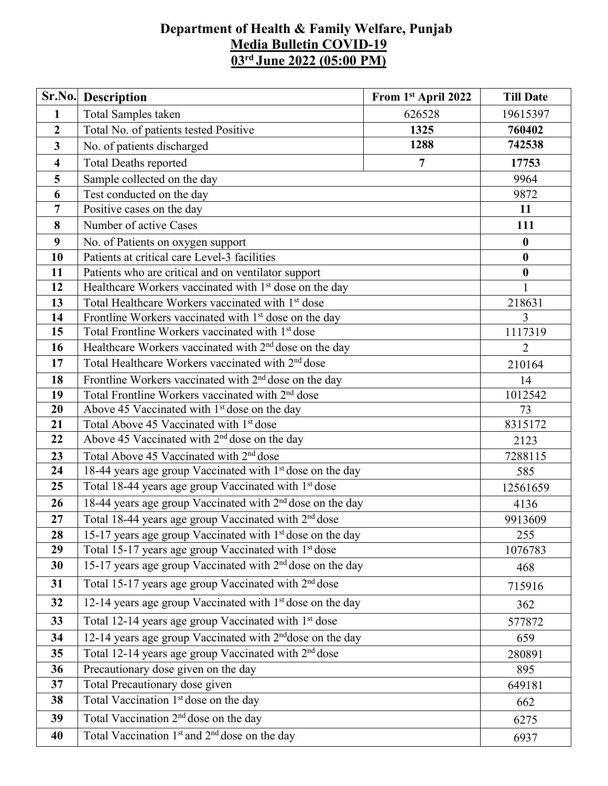## **Department of Health & Family Welfare, Punjab Media Bulletin COVID-19 03 rd June 2022 (05:00 PM)**

| Sr.No.                  | Description                                                           | From 1st April 2022 | <b>Till Date</b> |  |  |
|-------------------------|-----------------------------------------------------------------------|---------------------|------------------|--|--|
| $\mathbf{1}$            | Total Samples taken                                                   | 626528              | 19615397         |  |  |
| $\boldsymbol{2}$        | Total No. of patients tested Positive<br>1325                         |                     | 760402           |  |  |
| 3                       | No. of patients discharged                                            | 742538              |                  |  |  |
| $\overline{\mathbf{4}}$ | <b>Total Deaths reported</b>                                          | 17753               |                  |  |  |
| 5                       | Sample collected on the day                                           |                     | 9964             |  |  |
| 6                       | Test conducted on the day                                             |                     | 9872             |  |  |
| $\overline{7}$          | Positive cases on the day                                             |                     | 11               |  |  |
| 8                       | Number of active Cases                                                |                     | 111              |  |  |
| 9                       | No. of Patients on oxygen support                                     |                     | $\boldsymbol{0}$ |  |  |
| 10                      | Patients at critical care Level-3 facilities                          |                     | $\bf{0}$         |  |  |
| 11                      | Patients who are critical and on ventilator support                   |                     | $\boldsymbol{0}$ |  |  |
| 12                      | Healthcare Workers vaccinated with 1 <sup>st</sup> dose on the day    |                     | $\mathbf{1}$     |  |  |
| 13                      | Total Healthcare Workers vaccinated with 1 <sup>st</sup> dose         |                     | 218631           |  |  |
| 14                      | Frontline Workers vaccinated with 1 <sup>st</sup> dose on the day     |                     | 3                |  |  |
| 15                      | Total Frontline Workers vaccinated with 1 <sup>st</sup> dose          |                     | 1117319          |  |  |
| 16                      | Healthcare Workers vaccinated with 2 <sup>nd</sup> dose on the day    | $\overline{2}$      |                  |  |  |
| 17                      | Total Healthcare Workers vaccinated with 2 <sup>nd</sup> dose         | 210164              |                  |  |  |
| 18                      | Frontline Workers vaccinated with 2 <sup>nd</sup> dose on the day     | 14                  |                  |  |  |
| 19                      | Total Frontline Workers vaccinated with 2 <sup>nd</sup> dose          | 1012542             |                  |  |  |
| 20                      | Above 45 Vaccinated with 1 <sup>st</sup> dose on the day              |                     | 73               |  |  |
| 21                      | Total Above 45 Vaccinated with 1st dose                               | 8315172             |                  |  |  |
| 22                      | Above 45 Vaccinated with 2 <sup>nd</sup> dose on the day              | 2123                |                  |  |  |
| 23                      | Total Above 45 Vaccinated with 2 <sup>nd</sup> dose                   | 7288115             |                  |  |  |
| 24                      | 18-44 years age group Vaccinated with 1 <sup>st</sup> dose on the day |                     | 585              |  |  |
| 25                      | Total 18-44 years age group Vaccinated with 1 <sup>st</sup> dose      |                     | 12561659         |  |  |
| 26                      | 18-44 years age group Vaccinated with 2 <sup>nd</sup> dose on the day | 4136                |                  |  |  |
| 27                      | Total 18-44 years age group Vaccinated with 2 <sup>nd</sup> dose      |                     | 9913609          |  |  |
| 28                      | 15-17 years age group Vaccinated with $1st$ dose on the day           |                     | 255              |  |  |
| 29                      | Total 15-17 years age group Vaccinated with 1 <sup>st</sup> dose      |                     | 1076783          |  |  |
| 30                      | 15-17 years age group Vaccinated with 2 <sup>nd</sup> dose on the day |                     |                  |  |  |
| 31                      | Total 15-17 years age group Vaccinated with 2 <sup>nd</sup> dose      |                     | 715916           |  |  |
| 32                      | 12-14 years age group Vaccinated with 1 <sup>st</sup> dose on the day | 362                 |                  |  |  |
| 33                      | Total 12-14 years age group Vaccinated with 1 <sup>st</sup> dose      | 577872              |                  |  |  |
| 34                      | 12-14 years age group Vaccinated with 2 <sup>nd</sup> dose on the day | 659                 |                  |  |  |
| 35                      | Total 12-14 years age group Vaccinated with 2 <sup>nd</sup> dose      | 280891              |                  |  |  |
| 36                      | Precautionary dose given on the day                                   | 895                 |                  |  |  |
| 37                      | Total Precautionary dose given                                        | 649181              |                  |  |  |
| 38                      | Total Vaccination 1 <sup>st</sup> dose on the day                     |                     | 662              |  |  |
| 39                      | Total Vaccination 2 <sup>nd</sup> dose on the day                     |                     | 6275             |  |  |
| 40                      | Total Vaccination 1 <sup>st</sup> and 2 <sup>nd</sup> dose on the day |                     | 6937             |  |  |
|                         |                                                                       |                     |                  |  |  |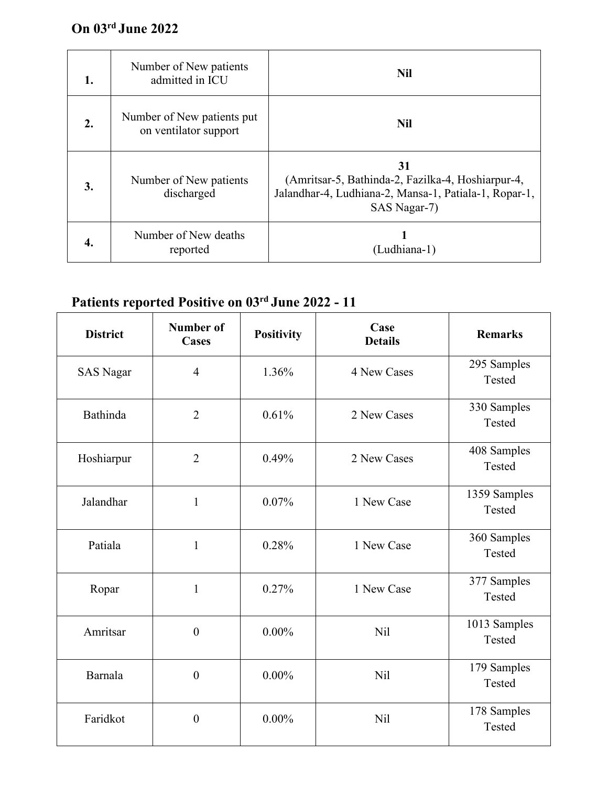## **On 03 rd June 2022**

| 1. | Number of New patients<br>admitted in ICU           | <b>Nil</b>                                                                                                                       |
|----|-----------------------------------------------------|----------------------------------------------------------------------------------------------------------------------------------|
| 2. | Number of New patients put<br>on ventilator support | <b>Nil</b>                                                                                                                       |
| 3. | Number of New patients<br>discharged                | 31<br>(Amritsar-5, Bathinda-2, Fazilka-4, Hoshiarpur-4,<br>Jalandhar-4, Ludhiana-2, Mansa-1, Patiala-1, Ropar-1,<br>SAS Nagar-7) |
| 4. | Number of New deaths<br>reported                    | (Ludhiana-1)                                                                                                                     |

## **Patients reported Positive on 03 rd June 2022 - 11**

| <b>District</b>  | <b>Number of</b><br><b>Cases</b> | <b>Positivity</b> | Case<br><b>Details</b> | <b>Remarks</b>         |
|------------------|----------------------------------|-------------------|------------------------|------------------------|
| <b>SAS Nagar</b> | $\overline{4}$                   | 1.36%             | 4 New Cases            | 295 Samples<br>Tested  |
| <b>Bathinda</b>  | $\overline{2}$                   | 0.61%             | 2 New Cases            | 330 Samples<br>Tested  |
| Hoshiarpur       | $\overline{2}$                   | 0.49%             | 2 New Cases            | 408 Samples<br>Tested  |
| Jalandhar        | $\mathbf{1}$                     | 0.07%             | 1 New Case             | 1359 Samples<br>Tested |
| Patiala          | $\mathbf{1}$                     | 0.28%             | 1 New Case             | 360 Samples<br>Tested  |
| Ropar            | $\mathbf{1}$                     | 0.27%             | 1 New Case             | 377 Samples<br>Tested  |
| Amritsar         | $\boldsymbol{0}$                 | $0.00\%$          | <b>Nil</b>             | 1013 Samples<br>Tested |
| Barnala          | $\boldsymbol{0}$                 | $0.00\%$          | <b>Nil</b>             | 179 Samples<br>Tested  |
| Faridkot         | $\boldsymbol{0}$                 | $0.00\%$          | Nil                    | 178 Samples<br>Tested  |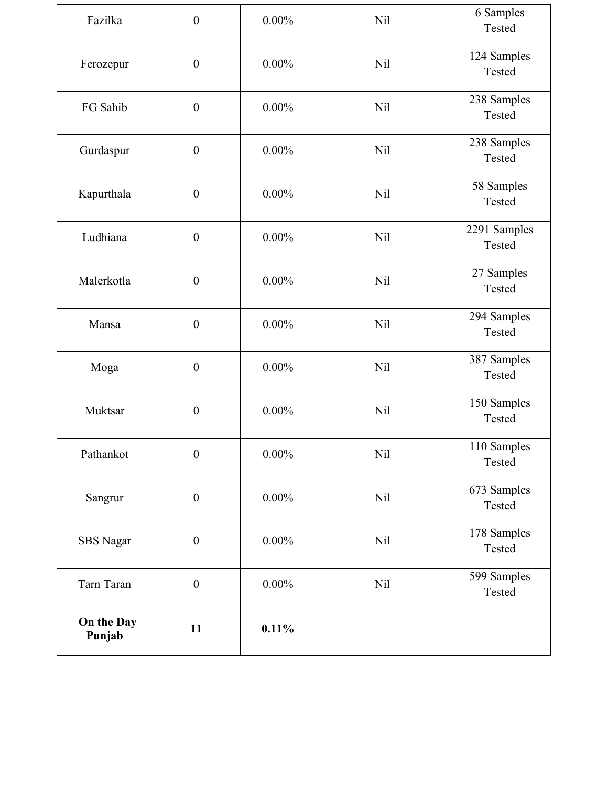| Fazilka              | $\boldsymbol{0}$ | $0.00\%$ | <b>Nil</b> | 6 Samples<br>Tested    |
|----------------------|------------------|----------|------------|------------------------|
| Ferozepur            | $\boldsymbol{0}$ | $0.00\%$ | <b>Nil</b> | 124 Samples<br>Tested  |
| FG Sahib             | $\boldsymbol{0}$ | $0.00\%$ | <b>Nil</b> | 238 Samples<br>Tested  |
| Gurdaspur            | $\boldsymbol{0}$ | $0.00\%$ | <b>Nil</b> | 238 Samples<br>Tested  |
| Kapurthala           | $\boldsymbol{0}$ | $0.00\%$ | <b>Nil</b> | 58 Samples<br>Tested   |
| Ludhiana             | $\boldsymbol{0}$ | $0.00\%$ | <b>Nil</b> | 2291 Samples<br>Tested |
| Malerkotla           | $\boldsymbol{0}$ | $0.00\%$ | <b>Nil</b> | 27 Samples<br>Tested   |
| Mansa                | $\boldsymbol{0}$ | $0.00\%$ | Nil        | 294 Samples<br>Tested  |
| Moga                 | $\boldsymbol{0}$ | $0.00\%$ | <b>Nil</b> | 387 Samples<br>Tested  |
| Muktsar              | $\boldsymbol{0}$ | $0.00\%$ | <b>Nil</b> | 150 Samples<br>Tested  |
| Pathankot            | $\boldsymbol{0}$ | $0.00\%$ | <b>Nil</b> | 110 Samples<br>Tested  |
| Sangrur              | $\boldsymbol{0}$ | $0.00\%$ | <b>Nil</b> | 673 Samples<br>Tested  |
| SBS Nagar            | $\boldsymbol{0}$ | $0.00\%$ | Nil        | 178 Samples<br>Tested  |
| Tarn Taran           | $\boldsymbol{0}$ | $0.00\%$ | <b>Nil</b> | 599 Samples<br>Tested  |
| On the Day<br>Punjab | 11               | 0.11%    |            |                        |
|                      |                  |          |            |                        |